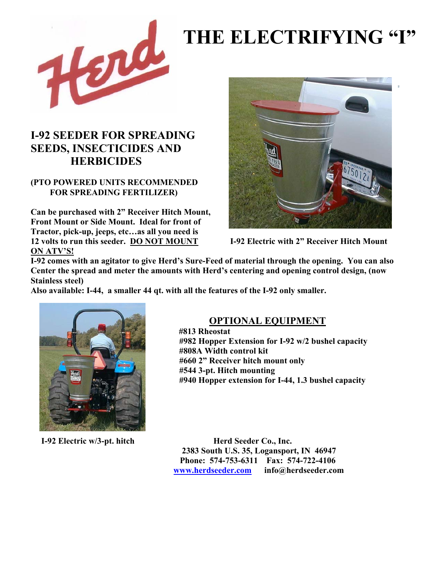

# **THE ELECTRIFYING "I"**

### **I-92 SEEDER FOR SPREADING SEEDS, INSECTICIDES AND HERBICIDES**

#### **(PTO POWERED UNITS RECOMMENDED FOR SPREADING FERTILIZER)**

**Can be purchased with 2" Receiver Hitch Mount, Front Mount or Side Mount. Ideal for front of Tractor, pick-up, jeeps, etc…as all you need is 12 volts to run this seeder. DO NOT MOUNT I-92 Electric with 2" Receiver Hitch Mount ON ATV'S!** 



**I-92 comes with an agitator to give Herd's Sure-Feed of material through the opening. You can also Center the spread and meter the amounts with Herd's centering and opening control design, (now Stainless steel)** 

**Also available: I-44, a smaller 44 qt. with all the features of the I-92 only smaller.** 



#### **OPTIONAL EQUIPMENT**

 **#813 Rheostat #982 Hopper Extension for I-92 w/2 bushel capacity #808A Width control kit #660 2" Receiver hitch mount only #544 3-pt. Hitch mounting #940 Hopper extension for I-44, 1.3 bushel capacity** 

**I-92 Electric w/3-pt. hitch Herd Seeder Co., Inc. 2383 South U.S. 35, Logansport, IN 46947 Phone: 574-753-6311 Fax: 574-722-4106 www.herdseeder.com info@herdseeder.com**